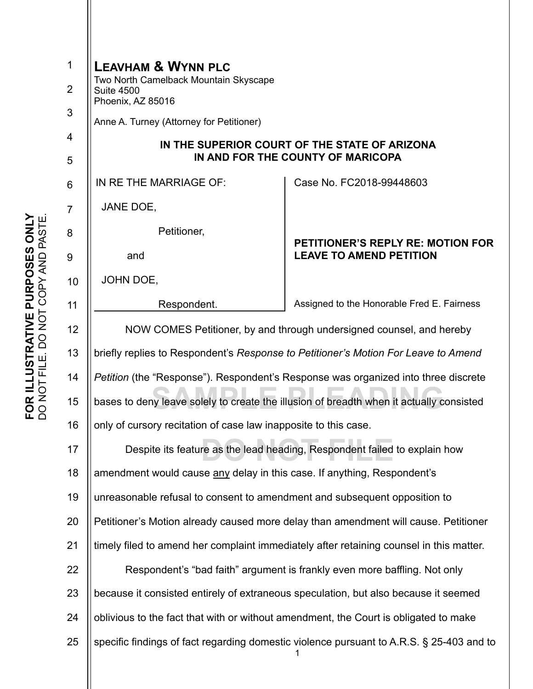| $\mathbf 1$     | <b>LEAVHAM &amp; WYNN PLC</b><br>Two North Camelback Mountain Skyscape                                                         |                                                                            |
|-----------------|--------------------------------------------------------------------------------------------------------------------------------|----------------------------------------------------------------------------|
| $\overline{2}$  | <b>Suite 4500</b><br>Phoenix, AZ 85016                                                                                         |                                                                            |
| $\sqrt{3}$      | Anne A. Turney (Attorney for Petitioner)<br>IN THE SUPERIOR COURT OF THE STATE OF ARIZONA<br>IN AND FOR THE COUNTY OF MARICOPA |                                                                            |
| 4               |                                                                                                                                |                                                                            |
| 5               |                                                                                                                                |                                                                            |
| $6\phantom{1}6$ | IN RE THE MARRIAGE OF:                                                                                                         | Case No. FC2018-99448603                                                   |
| $\overline{7}$  | JANE DOE,                                                                                                                      |                                                                            |
| 8               | Petitioner,                                                                                                                    |                                                                            |
| 9               | and                                                                                                                            | <b>PETITIONER'S REPLY RE: MOTION FOR</b><br><b>LEAVE TO AMEND PETITION</b> |
| 10              | JOHN DOE,                                                                                                                      |                                                                            |
| 11              | Respondent.                                                                                                                    | Assigned to the Honorable Fred E. Fairness                                 |
| 12              | NOW COMES Petitioner, by and through undersigned counsel, and hereby                                                           |                                                                            |
| 13              | briefly replies to Respondent's Response to Petitioner's Motion For Leave to Amend                                             |                                                                            |
| 14              | <i>Petition</i> (the "Response"). Respondent's Response was organized into three discrete                                      |                                                                            |
| 15              | bases to deny leave solely to create the illusion of breadth when it actually consisted                                        |                                                                            |
| 16              | only of cursory recitation of case law inapposite to this case.                                                                |                                                                            |
| 17              | Despite its feature as the lead heading, Respondent failed to explain how                                                      |                                                                            |
| 18              | amendment would cause any delay in this case. If anything, Respondent's                                                        |                                                                            |
| 19              | unreasonable refusal to consent to amendment and subsequent opposition to                                                      |                                                                            |
| 20              | Petitioner's Motion already caused more delay than amendment will cause. Petitioner                                            |                                                                            |
| 21              | timely filed to amend her complaint immediately after retaining counsel in this matter.                                        |                                                                            |
| 22              | Respondent's "bad faith" argument is frankly even more baffling. Not only                                                      |                                                                            |
| 23              | because it consisted entirely of extraneous speculation, but also because it seemed                                            |                                                                            |
| 24              | oblivious to the fact that with or without amendment, the Court is obligated to make                                           |                                                                            |
| 25              | specific findings of fact regarding domestic violence pursuant to A.R.S. § 25-403 and to                                       |                                                                            |
|                 |                                                                                                                                |                                                                            |
|                 |                                                                                                                                |                                                                            |

FOR ILLUSTRATIVE PURPOSES ONLY<br>DO NOT FILE. DO NOT COPY AND PASTE. **FOR ILLUSTRATIVE PURPOSES ONLY**  DO NOT FILE. DO NOT COPY AND PASTE.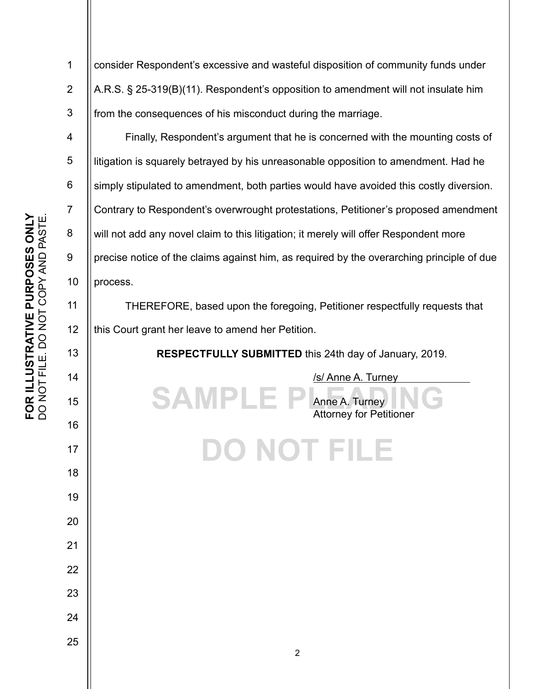1 2 3 4 5 6 7 8 9 10 11 12 13 14 15 16 17 18 19 20 21 22 23 24 25 **SAMPLE F DO NOT FILE** consider Respondent's excessive and wasteful disposition of community funds under A.R.S. § 25-319(B)(11). Respondent's opposition to amendment will not insulate him from the consequences of his misconduct during the marriage. Finally, Respondent's argument that he is concerned with the mounting costs of litigation is squarely betrayed by his unreasonable opposition to amendment. Had he simply stipulated to amendment, both parties would have avoided this costly diversion. Contrary to Respondent's overwrought protestations, Petitioner's proposed amendment will not add any novel claim to this litigation; it merely will offer Respondent more precise notice of the claims against him, as required by the overarching principle of due process. THEREFORE, based upon the foregoing, Petitioner respectfully requests that this Court grant her leave to amend her Petition. **RESPECTFULLY SUBMITTED** this 24th day of January, 2019. /s/ Anne A. Turney Anne A. Turney Attorney for Petitioner 2